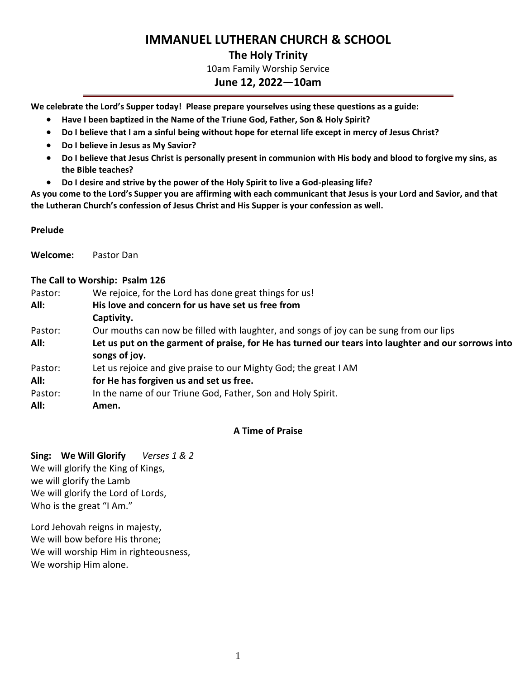# **IMMANUEL LUTHERAN CHURCH & SCHOOL**

### **The Holy Trinity**

10am Family Worship Service

### **June 12, 2022—10am**

**We celebrate the Lord's Supper today! Please prepare yourselves using these questions as a guide:**

- **Have I been baptized in the Name of the Triune God, Father, Son & Holy Spirit?**
- **Do I believe that I am a sinful being without hope for eternal life except in mercy of Jesus Christ?**
- **Do I believe in Jesus as My Savior?**
- **Do I believe that Jesus Christ is personally present in communion with His body and blood to forgive my sins, as the Bible teaches?**
- **Do I desire and strive by the power of the Holy Spirit to live a God-pleasing life?**

**As you come to the Lord's Supper you are affirming with each communicant that Jesus is your Lord and Savior, and that the Lutheran Church's confession of Jesus Christ and His Supper is your confession as well.**

#### **Prelude**

**Welcome:** Pastor Dan

#### **The Call to Worship: Psalm 126**

| Pastor: | We rejoice, for the Lord has done great things for us!                                                               |
|---------|----------------------------------------------------------------------------------------------------------------------|
| All:    | His love and concern for us have set us free from                                                                    |
|         | Captivity.                                                                                                           |
| Pastor: | Our mouths can now be filled with laughter, and songs of joy can be sung from our lips                               |
| All:    | Let us put on the garment of praise, for He has turned our tears into laughter and our sorrows into<br>songs of joy. |
| Pastor: | Let us rejoice and give praise to our Mighty God; the great I AM                                                     |
| All:    | for He has forgiven us and set us free.                                                                              |
| Pastor: | In the name of our Triune God, Father, Son and Holy Spirit.                                                          |
| All:    | Amen.                                                                                                                |

#### **A Time of Praise**

**Sing: We Will Glorify** *Verses 1 & 2* We will glorify the King of Kings, we will glorify the Lamb We will glorify the Lord of Lords, Who is the great "I Am."

Lord Jehovah reigns in majesty, We will bow before His throne; We will worship Him in righteousness, We worship Him alone.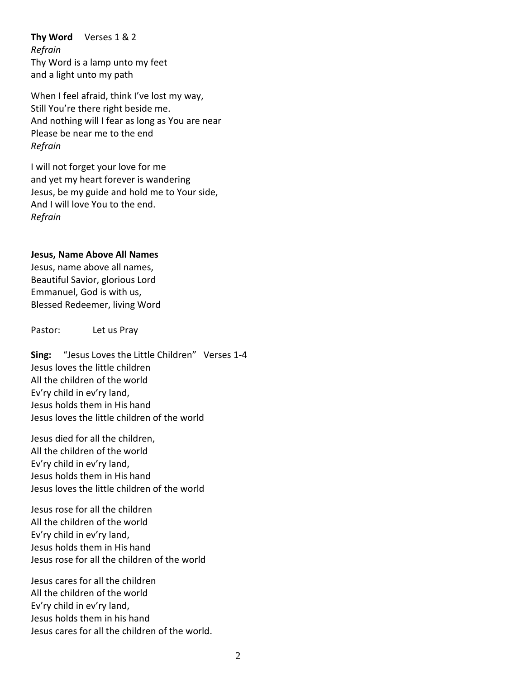**Thy Word** Verses 1 & 2 *Refrain* Thy Word is a lamp unto my feet and a light unto my path

When I feel afraid, think I've lost my way, Still You're there right beside me. And nothing will I fear as long as You are near Please be near me to the end *Refrain*

I will not forget your love for me and yet my heart forever is wandering Jesus, be my guide and hold me to Your side, And I will love You to the end. *Refrain*

#### **Jesus, Name Above All Names**

Jesus, name above all names, Beautiful Savior, glorious Lord Emmanuel, God is with us, Blessed Redeemer, living Word

Pastor: Let us Pray

**Sing:** "Jesus Loves the Little Children" Verses 1-4 Jesus loves the little children All the children of the world Ev'ry child in ev'ry land, Jesus holds them in His hand Jesus loves the little children of the world

Jesus died for all the children, All the children of the world Ev'ry child in ev'ry land, Jesus holds them in His hand Jesus loves the little children of the world

Jesus rose for all the children All the children of the world Ev'ry child in ev'ry land, Jesus holds them in His hand Jesus rose for all the children of the world

Jesus cares for all the children All the children of the world Ev'ry child in ev'ry land, Jesus holds them in his hand Jesus cares for all the children of the world.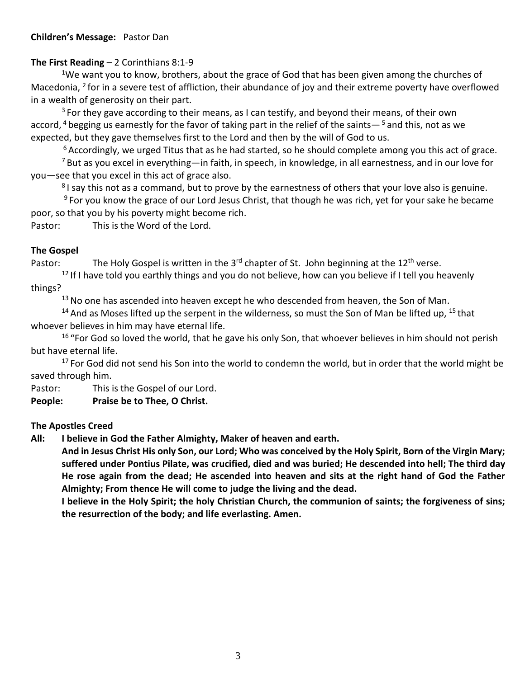### **Children's Message:** Pastor Dan

## **The First Reading** – 2 Corinthians 8:1-9

<sup>1</sup>We want you to know, brothers, about the grace of God that has been given among the churches of Macedonia, <sup>2</sup> for in a severe test of affliction, their abundance of joy and their extreme poverty have overflowed in a wealth of generosity on their part.

 $3$  For they gave according to their means, as I can testify, and beyond their means, of their own accord, <sup>4</sup> begging us earnestly for the favor of taking part in the relief of the saints—  $5$  and this, not as we expected, but they gave themselves first to the Lord and then by the will of God to us.

 $6$  Accordingly, we urged Titus that as he had started, so he should complete among you this act of grace.

 $<sup>7</sup>$  But as you excel in everything—in faith, in speech, in knowledge, in all earnestness, and in our love for</sup> you—see that you excel in this act of grace also.

<sup>8</sup>I say this not as a command, but to prove by the earnestness of others that your love also is genuine.

<sup>9</sup> For you know the grace of our Lord Jesus Christ, that though he was rich, yet for your sake he became poor, so that you by his poverty might become rich.

Pastor: This is the Word of the Lord.

## **The Gospel**

Pastor: The Holy Gospel is written in the 3<sup>rd</sup> chapter of St. John beginning at the 12<sup>th</sup> verse.

 $12$  If I have told you earthly things and you do not believe, how can you believe if I tell you heavenly things?

 $13$  No one has ascended into heaven except he who descended from heaven, the Son of Man.

<sup>14</sup> And as Moses lifted up the serpent in the wilderness, so must the Son of Man be lifted up, <sup>15</sup> that whoever believes in him may have eternal life.

<sup>16</sup> "For God so loved the world, that he gave his only Son, that whoever believes in him should not perish but have eternal life.

<sup>17</sup> For God did not send his Son into the world to condemn the world, but in order that the world might be saved through him.

Pastor: This is the Gospel of our Lord.

**People: Praise be to Thee, O Christ.**

## **The Apostles Creed**

**All: I believe in God the Father Almighty, Maker of heaven and earth.** 

**And in Jesus Christ His only Son, our Lord; Who was conceived by the Holy Spirit, Born of the Virgin Mary; suffered under Pontius Pilate, was crucified, died and was buried; He descended into hell; The third day He rose again from the dead; He ascended into heaven and sits at the right hand of God the Father Almighty; From thence He will come to judge the living and the dead.**

**I believe in the Holy Spirit; the holy Christian Church, the communion of saints; the forgiveness of sins; the resurrection of the body; and life everlasting. Amen.**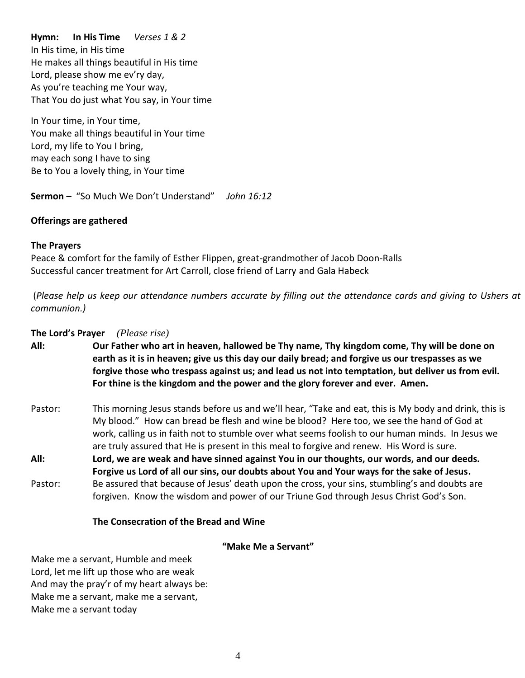### **Hymn: In His Time** *Verses 1 & 2*

In His time, in His time He makes all things beautiful in His time Lord, please show me ev'ry day, As you're teaching me Your way, That You do just what You say, in Your time

In Your time, in Your time, You make all things beautiful in Your time Lord, my life to You I bring, may each song I have to sing Be to You a lovely thing, in Your time

**Sermon –** "So Much We Don't Understand" *John 16:12*

#### **Offerings are gathered**

#### **The Prayers**

Peace & comfort for the family of Esther Flippen, great-grandmother of Jacob Doon-Ralls Successful cancer treatment for Art Carroll, close friend of Larry and Gala Habeck

(*Please help us keep our attendance numbers accurate by filling out the attendance cards and giving to Ushers at communion.)*

#### **The Lord's Prayer** *(Please rise)*

- **All: Our Father who art in heaven, hallowed be Thy name, Thy kingdom come, Thy will be done on earth as it is in heaven; give us this day our daily bread; and forgive us our trespasses as we forgive those who trespass against us; and lead us not into temptation, but deliver us from evil. For thine is the kingdom and the power and the glory forever and ever. Amen.**
- Pastor: This morning Jesus stands before us and we'll hear, "Take and eat, this is My body and drink, this is My blood." How can bread be flesh and wine be blood? Here too, we see the hand of God at work, calling us in faith not to stumble over what seems foolish to our human minds. In Jesus we are truly assured that He is present in this meal to forgive and renew. His Word is sure. **All: Lord, we are weak and have sinned against You in our thoughts, our words, and our deeds.**
- **Forgive us Lord of all our sins, our doubts about You and Your ways for the sake of Jesus.**
- Pastor: Be assured that because of Jesus' death upon the cross, your sins, stumbling's and doubts are forgiven. Know the wisdom and power of our Triune God through Jesus Christ God's Son.

#### **The Consecration of the Bread and Wine**

**"Make Me a Servant"**

Make me a servant, Humble and meek Lord, let me lift up those who are weak And may the pray'r of my heart always be: Make me a servant, make me a servant, Make me a servant today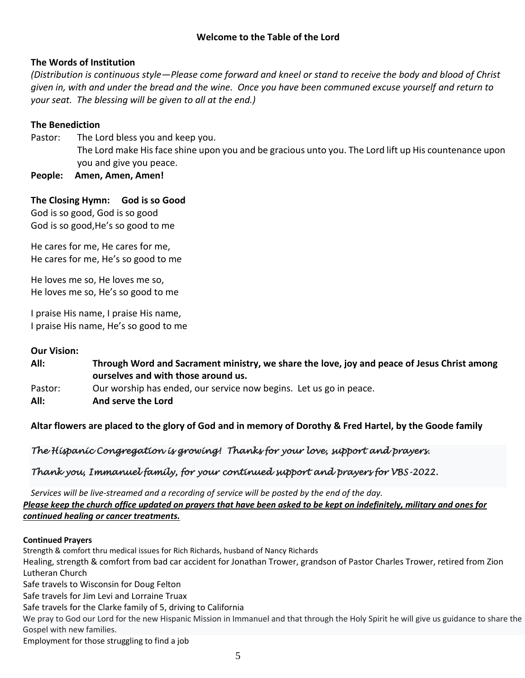### **The Words of Institution**

*(Distribution is continuous style—Please come forward and kneel or stand to receive the body and blood of Christ given in, with and under the bread and the wine. Once you have been communed excuse yourself and return to your seat. The blessing will be given to all at the end.)* 

### **The Benediction**

- Pastor: The Lord bless you and keep you. The Lord make His face shine upon you and be gracious unto you. The Lord lift up His countenance upon you and give you peace.
- **People: Amen, Amen, Amen!**

### **The Closing Hymn: God is so Good** God is so good, God is so good God is so good,He's so good to me

He cares for me, He cares for me,

He cares for me, He's so good to me

He loves me so, He loves me so, He loves me so, He's so good to me

I praise His name, I praise His name, I praise His name, He's so good to me

#### **Our Vision:**

**All: Through Word and Sacrament ministry, we share the love, joy and peace of Jesus Christ among ourselves and with those around us.** Pastor: Our worship has ended, our service now begins. Let us go in peace. **All: And serve the Lord**

### **Altar flowers are placed to the glory of God and in memory of Dorothy & Fred Hartel, by the Goode family**

## *The Hispanic Congregation is growing! Thanks for your love, support and prayers.*

## *Thank you, Immanuel family, for your continued support and prayers for VBS-2022.*

*Services will be live-streamed and a recording of service will be posted by the end of the day. Please keep the church office updated on prayers that have been asked to be kept on indefinitely, military and ones for continued healing or cancer treatments.*

#### **Continued Prayers**

Strength & comfort thru medical issues for Rich Richards, husband of Nancy Richards Healing, strength & comfort from bad car accident for Jonathan Trower, grandson of Pastor Charles Trower, retired from Zion Lutheran Church Safe travels to Wisconsin for Doug Felton Safe travels for Jim Levi and Lorraine Truax Safe travels for the Clarke family of 5, driving to California We pray to God our Lord for the new Hispanic Mission in Immanuel and that through the Holy Spirit he will give us guidance to share the Gospel with new families.

Employment for those struggling to find a job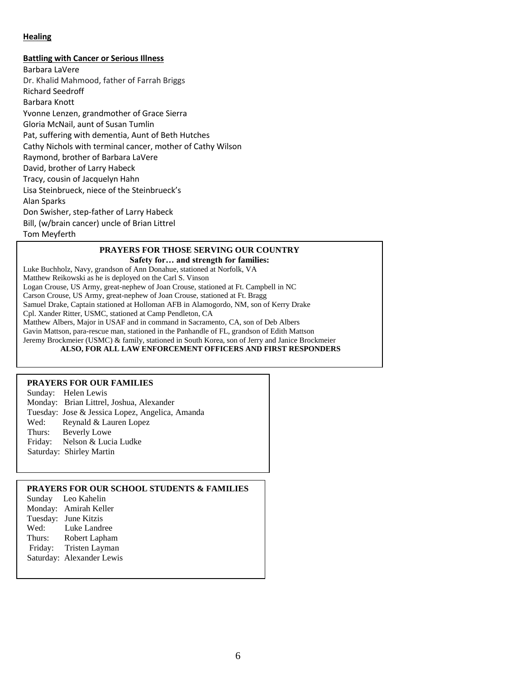#### **Healing**

#### **Battling with Cancer or Serious Illness**

Barbara LaVere Dr. Khalid Mahmood, father of Farrah Briggs Richard Seedroff Barbara Knott Yvonne Lenzen, grandmother of Grace Sierra Gloria McNail, aunt of Susan Tumlin Pat, suffering with dementia, Aunt of Beth Hutches Cathy Nichols with terminal cancer, mother of Cathy Wilson Raymond, brother of Barbara LaVere David, brother of Larry Habeck Tracy, cousin of Jacquelyn Hahn Lisa Steinbrueck, niece of the Steinbrueck's Alan Sparks Don Swisher, step-father of Larry Habeck Bill, (w/brain cancer) uncle of Brian Littrel Tom Meyferth

#### **PRAYERS FOR THOSE SERVING OUR COUNTRY Safety for… and strength for families:**

Luke Buchholz, Navy, grandson of Ann Donahue, stationed at Norfolk, VA Matthew Reikowski as he is deployed on the Carl S. Vinson Logan Crouse, US Army, great-nephew of Joan Crouse, stationed at Ft. Campbell in NC Carson Crouse, US Army, great-nephew of Joan Crouse, stationed at Ft. Bragg Samuel Drake, Captain stationed at Holloman AFB in Alamogordo, NM, son of Kerry Drake Cpl. Xander Ritter, USMC, stationed at Camp Pendleton, CA Matthew Albers, Major in USAF and in command in Sacramento, CA, son of Deb Albers Gavin Mattson, para-rescue man, stationed in the Panhandle of FL, grandson of Edith Mattson Jeremy Brockmeier (USMC) & family, stationed in South Korea, son of Jerry and Janice Brockmeier **ALSO, FOR ALL LAW ENFORCEMENT OFFICERS AND FIRST RESPONDERS**

#### **PRAYERS FOR OUR FAMILIES**

Sunday: Helen Lewis Monday: Brian Littrel, Joshua, Alexander Tuesday: Jose & Jessica Lopez, Angelica, Amanda Wed: Reynald & Lauren Lopez Thurs: Beverly Lowe Friday: Nelson & Lucia Ludke Saturday: Shirley Martin

#### **PRAYERS FOR OUR SCHOOL STUDENTS & FAMILIES**

|  | Sunday Leo Kahelin        |  |
|--|---------------------------|--|
|  | Monday: Amirah Keller     |  |
|  | Tuesday: June Kitzis      |  |
|  | Wed: Luke Landree         |  |
|  | Thurs: Robert Lapham      |  |
|  | Friday: Tristen Layman    |  |
|  | Saturday: Alexander Lewis |  |
|  |                           |  |